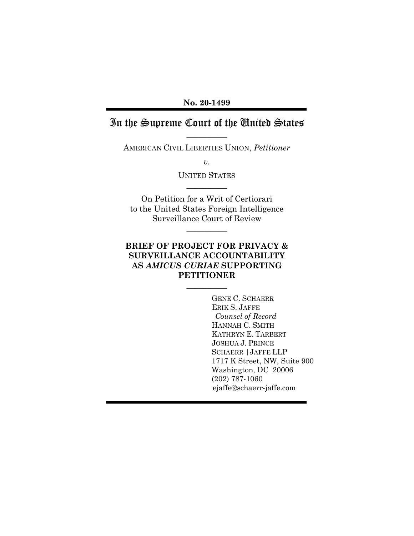**No. 20-1499**

# In the Supreme Court of the United States  $\overline{\phantom{a}}$   $\overline{\phantom{a}}$

AMERICAN CIVIL LIBERTIES UNION, *Petitioner*

*v.*

UNITED STATES  $\overline{\phantom{a}}$   $\overline{\phantom{a}}$ 

On Petition for a Writ of Certiorari to the United States Foreign Intelligence Surveillance Court of Review

 $\overline{\phantom{a}}$   $\overline{\phantom{a}}$ 

## **BRIEF OF PROJECT FOR PRIVACY & SURVEILLANCE ACCOUNTABILITY AS** *AMICUS CURIAE* **SUPPORTING PETITIONER**

 $\overline{\phantom{a}}$   $\overline{\phantom{a}}$ 

GENE C. SCHAERR ERIK S. JAFFE *Counsel of Record* HANNAH C. SMITH KATHRYN E. TARBERT JOSHUA J. PRINCE SCHAERR |JAFFE LLP 1717 K Street, NW, Suite 900 Washington, DC 20006 (202) 787-1060 ejaffe@schaerr-jaffe.com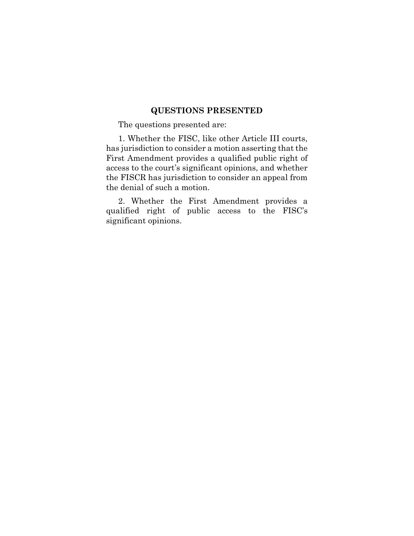## **QUESTIONS PRESENTED**

<span id="page-1-0"></span>The questions presented are:

1. Whether the FISC, like other Article III courts, has jurisdiction to consider a motion asserting that the First Amendment provides a qualified public right of access to the court's significant opinions, and whether the FISCR has jurisdiction to consider an appeal from the denial of such a motion.

2. Whether the First Amendment provides a qualified right of public access to the FISC's significant opinions.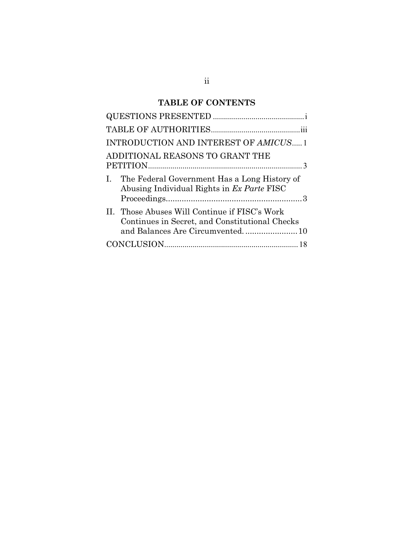# **TABLE OF CONTENTS**

| INTRODUCTION AND INTEREST OF AMICUS 1                                                                      |
|------------------------------------------------------------------------------------------------------------|
| ADDITIONAL REASONS TO GRANT THE                                                                            |
| The Federal Government Has a Long History of<br>$\mathbf{I}$<br>Abusing Individual Rights in Ex Parte FISC |
| II. Those Abuses Will Continue if FISC's Work<br>Continues in Secret, and Constitutional Checks            |
|                                                                                                            |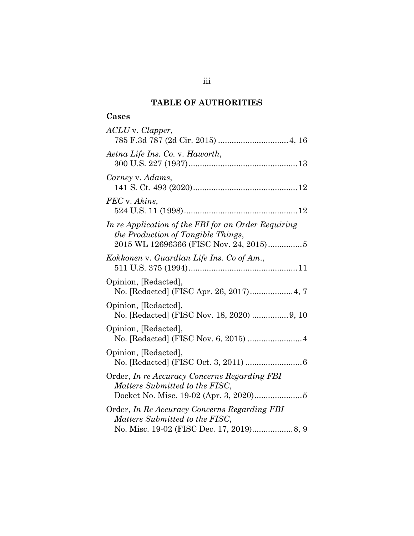## **TABLE OF AUTHORITIES**

## <span id="page-3-0"></span>**Cases**

| ACLU v. Clapper,                                                                                                                           |
|--------------------------------------------------------------------------------------------------------------------------------------------|
| Aetna Life Ins. Co. v. Haworth,                                                                                                            |
| Carney v. Adams,                                                                                                                           |
| FEC v. Akins,                                                                                                                              |
| In re Application of the FBI for an Order Requiring<br><i>the Production of Tangible Things,</i><br>2015 WL 12696366 (FISC Nov. 24, 2015)5 |
| Kokkonen v. Guardian Life Ins. Co of Am.,                                                                                                  |
| Opinion, [Redacted],<br>No. [Redacted] (FISC Apr. 26, 2017) 4, 7                                                                           |
| Opinion, [Redacted],<br>No. [Redacted] (FISC Nov. 18, 2020)  9, 10                                                                         |
| Opinion, [Redacted],<br>No. [Redacted] (FISC Nov. 6, 2015)  4                                                                              |
| Opinion, [Redacted],                                                                                                                       |
| Order, In re Accuracy Concerns Regarding FBI<br>Matters Submitted to the FISC,                                                             |
| Order, In Re Accuracy Concerns Regarding FBI<br>Matters Submitted to the FISC,                                                             |
|                                                                                                                                            |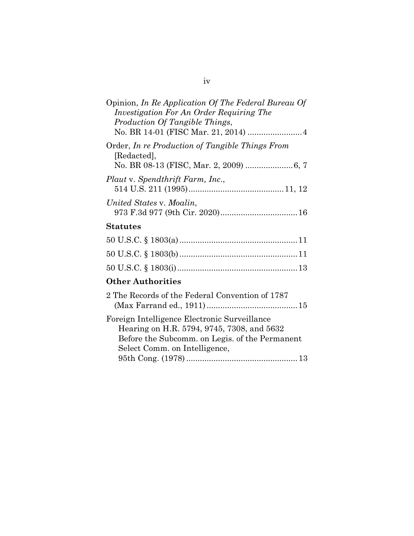| Opinion, In Re Application Of The Federal Bureau Of<br>Investigation For An Order Requiring The<br>Production Of Tangible Things,                                             |
|-------------------------------------------------------------------------------------------------------------------------------------------------------------------------------|
| Order, In re Production of Tangible Things From<br>[Redacted],                                                                                                                |
| Plaut v. Spendthrift Farm, Inc.,                                                                                                                                              |
| United States v. Moalin,                                                                                                                                                      |
| <b>Statutes</b>                                                                                                                                                               |
|                                                                                                                                                                               |
|                                                                                                                                                                               |
|                                                                                                                                                                               |
| <b>Other Authorities</b>                                                                                                                                                      |
| 2 The Records of the Federal Convention of 1787                                                                                                                               |
| Foreign Intelligence Electronic Surveillance<br>Hearing on H.R. 5794, 9745, 7308, and 5632<br>Before the Subcomm. on Legis. of the Permanent<br>Select Comm. on Intelligence, |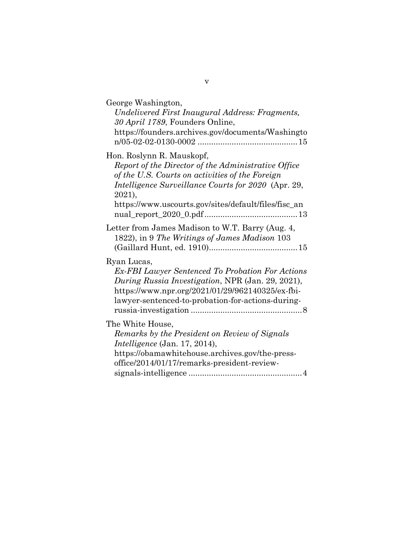| George Washington,<br>Undelivered First Inaugural Address: Fragments,<br>30 April 1789, Founders Online,<br>https://founders.archives.gov/documents/Washingto                                                                                                |
|--------------------------------------------------------------------------------------------------------------------------------------------------------------------------------------------------------------------------------------------------------------|
| Hon. Roslynn R. Mauskopf,<br>Report of the Director of the Administrative Office<br>of the U.S. Courts on activities of the Foreign<br>Intelligence Surveillance Courts for 2020 (Apr. 29,<br>2021),<br>https://www.uscourts.gov/sites/default/files/fisc_an |
| Letter from James Madison to W.T. Barry (Aug. 4,<br>1822), in 9 The Writings of James Madison 103                                                                                                                                                            |
| Ryan Lucas,<br><b>Ex-FBI Lawyer Sentenced To Probation For Actions</b><br>During Russia Investigation, NPR (Jan. 29, 2021),<br>https://www.npr.org/2021/01/29/962140325/ex-fbi-<br>lawyer-sentenced-to-probation-for-actions-during-                         |
| The White House,<br>Remarks by the President on Review of Signals<br><i>Intelligence</i> (Jan. 17, 2014),<br>https://obamawhitehouse.archives.gov/the-press-<br>office/2014/01/17/remarks-president-review-                                                  |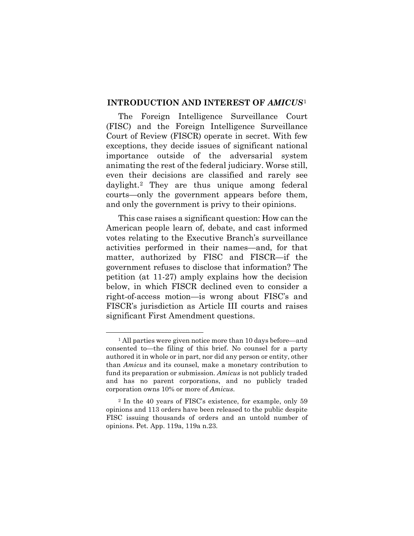#### <span id="page-6-0"></span>**INTRODUCTION AND INTEREST OF** *AMICUS*[1](#page-6-1)

The Foreign Intelligence Surveillance Court (FISC) and the Foreign Intelligence Surveillance Court of Review (FISCR) operate in secret. With few exceptions, they decide issues of significant national importance outside of the adversarial system animating the rest of the federal judiciary. Worse still, even their decisions are classified and rarely see daylight.[2](#page-6-2) They are thus unique among federal courts—only the government appears before them, and only the government is privy to their opinions.

This case raises a significant question: How can the American people learn of, debate, and cast informed votes relating to the Executive Branch's surveillance activities performed in their names—and, for that matter, authorized by FISC and FISCR—if the government refuses to disclose that information? The petition (at 11-27) amply explains how the decision below, in which FISCR declined even to consider a right-of-access motion—is wrong about FISC's and FISCR's jurisdiction as Article III courts and raises significant First Amendment questions.

<span id="page-6-1"></span><sup>1</sup> All parties were given notice more than 10 days before—and consented to—the filing of this brief. No counsel for a party authored it in whole or in part, nor did any person or entity, other than *Amicus* and its counsel, make a monetary contribution to fund its preparation or submission. *Amicus* is not publicly traded and has no parent corporations, and no publicly traded corporation owns 10% or more of *Amicus*.

<span id="page-6-2"></span><sup>2</sup> In the 40 years of FISC's existence, for example, only 59 opinions and 113 orders have been released to the public despite FISC issuing thousands of orders and an untold number of opinions. Pet. App. 119a, 119a n.23.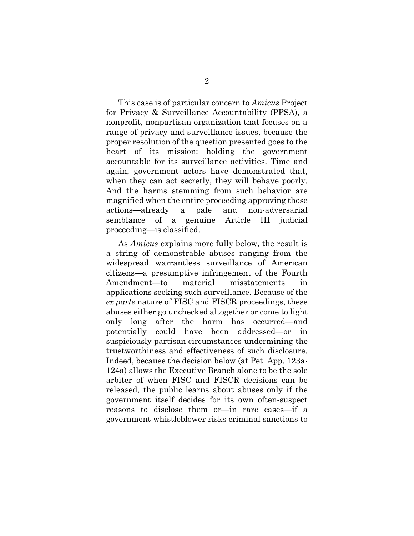This case is of particular concern to *Amicus* Project for Privacy & Surveillance Accountability (PPSA), a nonprofit, nonpartisan organization that focuses on a range of privacy and surveillance issues, because the proper resolution of the question presented goes to the heart of its mission: holding the government accountable for its surveillance activities. Time and again, government actors have demonstrated that, when they can act secretly, they will behave poorly. And the harms stemming from such behavior are magnified when the entire proceeding approving those actions—already a pale and non-adversarial semblance of a genuine Article III judicial proceeding—is classified.

As *Amicus* explains more fully below, the result is a string of demonstrable abuses ranging from the widespread warrantless surveillance of American citizens—a presumptive infringement of the Fourth Amendment—to material misstatements in applications seeking such surveillance. Because of the *ex parte* nature of FISC and FISCR proceedings, these abuses either go unchecked altogether or come to light only long after the harm has occurred—and potentially could have been addressed—or in suspiciously partisan circumstances undermining the trustworthiness and effectiveness of such disclosure. Indeed, because the decision below (at Pet. App. 123a-124a) allows the Executive Branch alone to be the sole arbiter of when FISC and FISCR decisions can be released, the public learns about abuses only if the government itself decides for its own often-suspect reasons to disclose them or—in rare cases—if a government whistleblower risks criminal sanctions to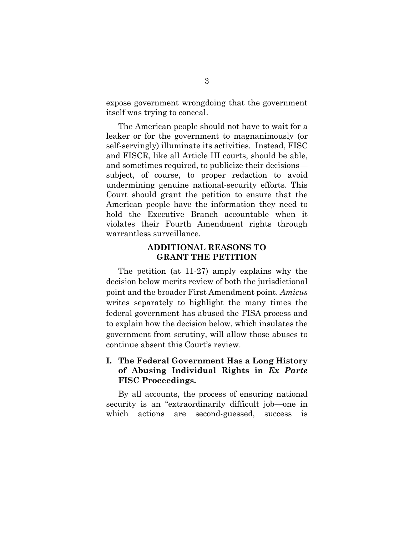expose government wrongdoing that the government itself was trying to conceal.

The American people should not have to wait for a leaker or for the government to magnanimously (or self-servingly) illuminate its activities. Instead, FISC and FISCR, like all Article III courts, should be able, and sometimes required, to publicize their decisions subject, of course, to proper redaction to avoid undermining genuine national-security efforts. This Court should grant the petition to ensure that the American people have the information they need to hold the Executive Branch accountable when it violates their Fourth Amendment rights through warrantless surveillance.

## **ADDITIONAL REASONS TO GRANT THE PETITION**

<span id="page-8-0"></span>The petition (at 11-27) amply explains why the decision below merits review of both the jurisdictional point and the broader First Amendment point. *Amicus*  writes separately to highlight the many times the federal government has abused the FISA process and to explain how the decision below, which insulates the government from scrutiny, will allow those abuses to continue absent this Court's review.

## <span id="page-8-1"></span>**I. The Federal Government Has a Long History of Abusing Individual Rights in** *Ex Parte*  **FISC Proceedings.**

By all accounts, the process of ensuring national security is an "extraordinarily difficult job—one in which actions are second-guessed, success is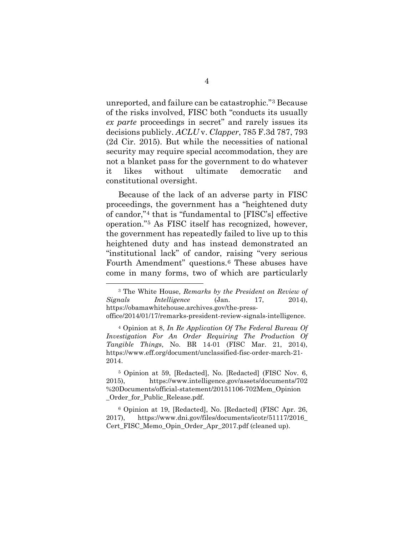unreported, and failure can be catastrophic."[3](#page-9-0) Because of the risks involved, FISC both "conducts its usually *ex parte* proceedings in secret" and rarely issues its decisions publicly. *ACLU* v. *Clapper*, 785 F.3d 787, 793 (2d Cir. 2015). But while the necessities of national security may require special accommodation, they are not a blanket pass for the government to do whatever it likes without ultimate democratic and constitutional oversight.

Because of the lack of an adverse party in FISC proceedings, the government has a "heightened duty of candor,"[4](#page-9-1) that is "fundamental to [FISC's] effective operation."[5](#page-9-2) As FISC itself has recognized, however, the government has repeatedly failed to live up to this heightened duty and has instead demonstrated an "institutional lack" of candor, raising "very serious Fourth Amendment" questions.[6](#page-9-3) These abuses have come in many forms, two of which are particularly

<span id="page-9-0"></span><sup>3</sup> The White House, *Remarks by the President on Review of Signals Intelligence* (Jan. 17, 2014), [https://obamawhitehouse.archives.gov/the-press](https://obamawhitehouse.archives.gov/the-press-office/2014/01/17/remarks-president-review-signals-intelligence)[office/2014/01/17/remarks-president-review-signals-intelligence.](https://obamawhitehouse.archives.gov/the-press-office/2014/01/17/remarks-president-review-signals-intelligence)

<span id="page-9-1"></span><sup>4</sup> Opinion at 8, *In Re Application Of The Federal Bureau Of Investigation For An Order Requiring The Production Of Tangible Things*, No. BR 14-01 (FISC Mar. 21, 2014), [https://www.eff.org/document/unclassified-fisc-order-march-21-](https://www.eff.org/document/unclassified-fisc-order-march-21-2014) [2014.](https://www.eff.org/document/unclassified-fisc-order-march-21-2014)

<span id="page-9-2"></span><sup>5</sup> Opinion at 59, [Redacted], No. [Redacted] (FISC Nov. 6, 2015), [https://www.intelligence.gov/assets/documents/702](https://www.intelligence.gov/assets/documents/702%20Documents/official-statement/20151106-702Mem_Opinion_Order_for_Public_Release.pdf) [%20Documents/official-statement/20151106-702Mem\\_Opinion](https://www.intelligence.gov/assets/documents/702%20Documents/official-statement/20151106-702Mem_Opinion_Order_for_Public_Release.pdf) [\\_Order\\_for\\_Public\\_Release.pdf.](https://www.intelligence.gov/assets/documents/702%20Documents/official-statement/20151106-702Mem_Opinion_Order_for_Public_Release.pdf)

<span id="page-9-3"></span><sup>6</sup> Opinion at 19, [Redacted], No. [Redacted] (FISC Apr. 26, 2017), [https://www.dni.gov/files/documents/icotr/51117/2016\\_](https://www.dni.gov/files/documents/icotr/51117/2016_Cert_FISC_Memo_Opin_Order_Apr_2017.pdf) [Cert\\_FISC\\_Memo\\_Opin\\_Order\\_Apr\\_2017.pdf](https://www.dni.gov/files/documents/icotr/51117/2016_Cert_FISC_Memo_Opin_Order_Apr_2017.pdf) (cleaned up).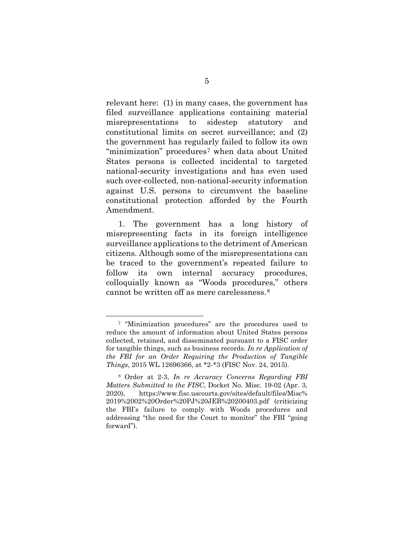relevant here: (1) in many cases, the government has filed surveillance applications containing material misrepresentations to sidestep statutory and constitutional limits on secret surveillance; and (2) the government has regularly failed to follow its own "minimization" procedures[7](#page-10-0) when data about United States persons is collected incidental to targeted national-security investigations and has even used such over-collected, non-national-security information against U.S. persons to circumvent the baseline constitutional protection afforded by the Fourth Amendment.

1. The government has a long history of misrepresenting facts in its foreign intelligence surveillance applications to the detriment of American citizens. Although some of the misrepresentations can be traced to the government's repeated failure to follow its own internal accuracy procedures, colloquially known as "Woods procedures," others cannot be written off as mere carelessness.[8](#page-10-1)

<span id="page-10-0"></span><sup>7</sup> "Minimization procedures" are the procedures used to reduce the amount of information about United States persons collected, retained, and disseminated pursuant to a FISC order for tangible things, such as business records. *In re Application of the FBI for an Order Requiring the Production of Tangible Things*, 2015 WL 12696366, at \*2-\*3 (FISC Nov. 24, 2015).

<span id="page-10-1"></span><sup>8</sup> Order at 2-3, *In re Accuracy Concerns Regarding FBI Matters Submitted to the FISC*, Docket No. Misc. 19-02 (Apr. 3, 2020), [https://www.fisc.uscourts.gov/sites/default/files/Misc%](https://www.fisc.uscourts.gov/sites/default/files/Misc%2019%2002%20Order%20PJ%20JEB%20200403.pdf) [2019%2002%20Order%20PJ%20JEB%20200403.pdf](https://www.fisc.uscourts.gov/sites/default/files/Misc%2019%2002%20Order%20PJ%20JEB%20200403.pdf) (criticizing the FBI's failure to comply with Woods procedures and addressing "the need for the Court to monitor" the FBI "going forward").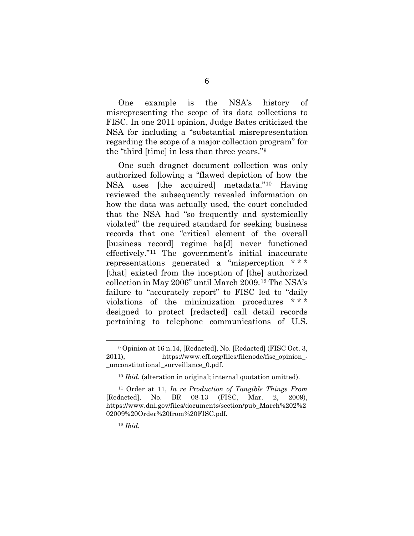One example is the NSA's history of misrepresenting the scope of its data collections to FISC. In one 2011 opinion, Judge Bates criticized the NSA for including a "substantial misrepresentation regarding the scope of a major collection program" for the "third [time] in less than three years."[9](#page-11-0)

One such dragnet document collection was only authorized following a "flawed depiction of how the NSA uses [the acquired] metadata."[10](#page-11-1) Having reviewed the subsequently revealed information on how the data was actually used, the court concluded that the NSA had "so frequently and systemically violated" the required standard for seeking business records that one "critical element of the overall [business record] regime ha[d] never functioned effectively."[11](#page-11-2) The government's initial inaccurate representations generated a "misperception \* \* \* [that] existed from the inception of [the] authorized collection in May 2006" until March 2009.[12](#page-11-3) The NSA's failure to "accurately report" to FISC led to "daily violations of the minimization procedures \* \* \* designed to protect [redacted] call detail records pertaining to telephone communications of U.S.

<span id="page-11-0"></span><sup>9</sup> Opinion at 16 n.14, [Redacted], No. [Redacted] (FISC Oct. 3, 2011), [https://www.eff.org/files/filenode/fisc\\_opinion\\_-](https://www.eff.org/files/filenode/fisc_opinion_-_unconstitutional_surveillance_0.pdf) [\\_unconstitutional\\_surveillance\\_0.pdf.](https://www.eff.org/files/filenode/fisc_opinion_-_unconstitutional_surveillance_0.pdf)

<sup>10</sup> *Ibid.* (alteration in original; internal quotation omitted).

<span id="page-11-3"></span><span id="page-11-2"></span><span id="page-11-1"></span><sup>11</sup> Order at 11, *In re Production of Tangible Things From* [Redacted], No. BR 08-13 (FISC, Mar. 2, 2009), [https://www.dni.gov/files/documents/section/pub\\_March%202%2](https://www.dni.gov/files/documents/section/pub_March%202%202009%20Order%20from%20FISC.pdf) [02009%20Order%20from%20FISC.pdf.](https://www.dni.gov/files/documents/section/pub_March%202%202009%20Order%20from%20FISC.pdf)

<sup>12</sup> *Ibid.*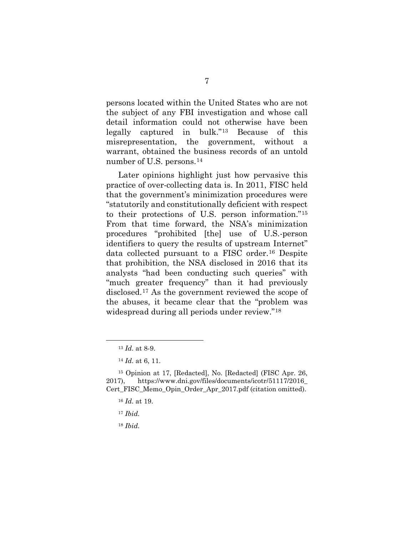persons located within the United States who are not the subject of any FBI investigation and whose call detail information could not otherwise have been legally captured in bulk.["13](#page-12-0) Because of this misrepresentation, the government, without a warrant, obtained the business records of an untold number of U.S. persons.<sup>14</sup>

Later opinions highlight just how pervasive this practice of over-collecting data is. In 2011, FISC held that the government's minimization procedures were "statutorily and constitutionally deficient with respect to their protections of U.S. person information."[15](#page-12-2) From that time forward, the NSA's minimization procedures "prohibited [the] use of U.S.-person identifiers to query the results of upstream Internet" data collected pursuant to a FISC order.[16](#page-12-3) Despite that prohibition, the NSA disclosed in 2016 that its analysts "had been conducting such queries" with "much greater frequency" than it had previously disclosed.[17](#page-12-4) As the government reviewed the scope of the abuses, it became clear that the "problem was widespread during all periods under review."[18](#page-12-5) 

- <sup>17</sup> *Ibid.*
- <sup>18</sup> *Ibid.*

<sup>13</sup> *Id.* at 8-9.

<sup>14</sup> *Id.* at 6, 11.

<span id="page-12-5"></span><span id="page-12-4"></span><span id="page-12-3"></span><span id="page-12-2"></span><span id="page-12-1"></span><span id="page-12-0"></span><sup>15</sup> Opinion at 17, [Redacted], No. [Redacted] (FISC Apr. 26, 2017), [https://www.dni.gov/files/documents/icotr/51117/2016\\_](https://www.dni.gov/files/documents/icotr/51117/2016_Cert_FISC_Memo_Opin_Order_Apr_2017.pdf) [Cert\\_FISC\\_Memo\\_Opin\\_Order\\_Apr\\_2017.pdf](https://www.dni.gov/files/documents/icotr/51117/2016_Cert_FISC_Memo_Opin_Order_Apr_2017.pdf) (citation omitted).

<sup>16</sup> *Id.* at 19.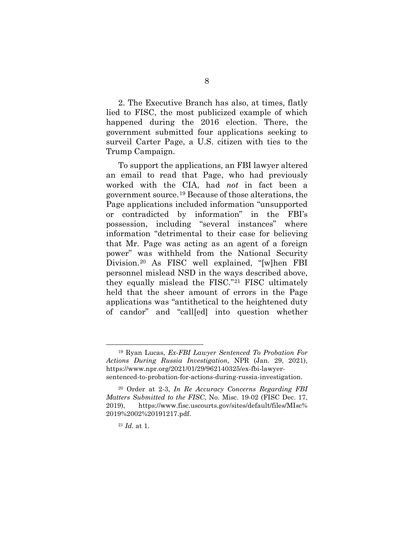2. The Executive Branch has also, at times, flatly lied to FISC, the most publicized example of which happened during the 2016 election. There, the government submitted four applications seeking to surveil Carter Page, a U.S. citizen with ties to the Trump Campaign.

To support the applications, an FBI lawyer altered an email to read that Page, who had previously worked with the CIA, had *not* in fact been a government source.[19](#page-13-0) Because of those alterations, the Page applications included information "unsupported or contradicted by information" in the FBI's possession, including "several instances" where information "detrimental to their case for believing that Mr. Page was acting as an agent of a foreign power" was withheld from the National Security Division.[20](#page-13-1) As FISC well explained, "[w]hen FBI personnel mislead NSD in the ways described above, they equally mislead the FISC."[21](#page-13-2) FISC ultimately held that the sheer amount of errors in the Page applications was "antithetical to the heightened duty of candor" and "call[ed] into question whether

<span id="page-13-0"></span><sup>19</sup> Ryan Lucas, *Ex-FBI Lawyer Sentenced To Probation For Actions During Russia Investigation*, NPR (Jan. 29, 2021), [https://www.npr.org/2021/01/29/962140325/ex-fbi-lawyer](https://www.npr.org/2021/01/29/962140325/ex-fbi-lawyer-sentenced-to-probation-for-actions-during-russia-investigation)[sentenced-to-probation-for-actions-during-russia-investigation.](https://www.npr.org/2021/01/29/962140325/ex-fbi-lawyer-sentenced-to-probation-for-actions-during-russia-investigation)

<span id="page-13-2"></span><span id="page-13-1"></span><sup>20</sup> Order at 2-3, *In Re Accuracy Concerns Regarding FBI Matters Submitted to the FISC*, No. Misc. 19-02 (FISC Dec. 17, 2019), [https://www.fisc.uscourts.gov/sites/default/files/MIsc%](https://www.fisc.uscourts.gov/sites/default/files/MIsc%2019%2002%20191217.pdf) [2019%2002%20191217.pdf.](https://www.fisc.uscourts.gov/sites/default/files/MIsc%2019%2002%20191217.pdf)

<sup>21</sup> *Id.* at 1.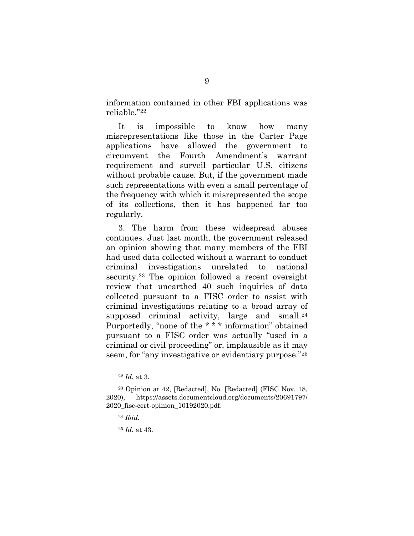information contained in other FBI applications was reliable.["22](#page-14-0)

It is impossible to know how many misrepresentations like those in the Carter Page applications have allowed the government to circumvent the Fourth Amendment's warrant requirement and surveil particular U.S. citizens without probable cause. But, if the government made such representations with even a small percentage of the frequency with which it misrepresented the scope of its collections, then it has happened far too regularly.

3. The harm from these widespread abuses continues. Just last month, the government released an opinion showing that many members of the FBI had used data collected without a warrant to conduct criminal investigations unrelated to national security.<sup>[23](#page-14-1)</sup> The opinion followed a recent oversight review that unearthed 40 such inquiries of data collected pursuant to a FISC order to assist with criminal investigations relating to a broad array of supposed criminal activity, large and small.<sup>[24](#page-14-2)</sup> Purportedly, "none of the \* \* \* information" obtained pursuant to a FISC order was actually "used in a criminal or civil proceeding" or, implausible as it may seem, for "any investigative or evidentiary purpose."<sup>[25](#page-14-3)</sup>

<sup>22</sup> *Id.* at 3.

<span id="page-14-3"></span><span id="page-14-2"></span><span id="page-14-1"></span><span id="page-14-0"></span><sup>23</sup> Opinion at 42, [Redacted], No. [Redacted] (FISC Nov. 18, 2020), [https://assets.documentcloud.org/documents/20691797/](https://assets.documentcloud.org/documents/20691797/2020_fisc-cert-opinion_10192020.pdf) [2020\\_fisc-cert-opinion\\_10192020.pdf.](https://assets.documentcloud.org/documents/20691797/2020_fisc-cert-opinion_10192020.pdf)

<sup>24</sup> *Ibid.*

<sup>25</sup> *Id.* at 43.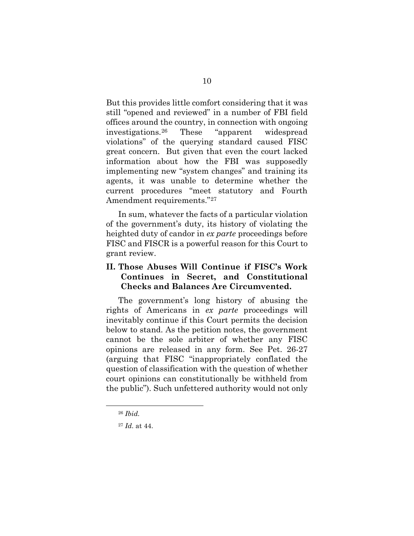But this provides little comfort considering that it was still "opened and reviewed" in a number of FBI field offices around the country, in connection with ongoing investigations.[26](#page-15-1) These "apparent widespread violations" of the querying standard caused FISC great concern. But given that even the court lacked information about how the FBI was supposedly implementing new "system changes" and training its agents, it was unable to determine whether the current procedures "meet statutory and Fourth Amendment requirements."27

In sum, whatever the facts of a particular violation of the government's duty, its history of violating the heighted duty of candor in *ex parte* proceedings before FISC and FISCR is a powerful reason for this Court to grant review.

## <span id="page-15-0"></span>**II. Those Abuses Will Continue if FISC's Work Continues in Secret, and Constitutional Checks and Balances Are Circumvented.**

The government's long history of abusing the rights of Americans in *ex parte* proceedings will inevitably continue if this Court permits the decision below to stand. As the petition notes, the government cannot be the sole arbiter of whether any FISC opinions are released in any form. See Pet. 26-27 (arguing that FISC "inappropriately conflated the question of classification with the question of whether court opinions can constitutionally be withheld from the public"). Such unfettered authority would not only

<span id="page-15-1"></span><sup>26</sup> *Ibid.*

<span id="page-15-2"></span><sup>27</sup> *Id.* at 44.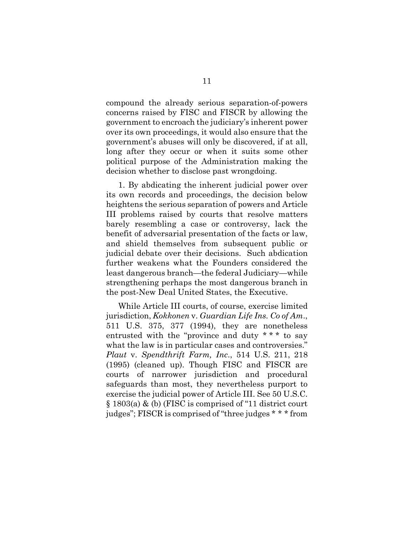compound the already serious separation-of-powers concerns raised by FISC and FISCR by allowing the government to encroach the judiciary's inherent power over its own proceedings, it would also ensure that the government's abuses will only be discovered, if at all, long after they occur or when it suits some other political purpose of the Administration making the decision whether to disclose past wrongdoing.

1. By abdicating the inherent judicial power over its own records and proceedings, the decision below heightens the serious separation of powers and Article III problems raised by courts that resolve matters barely resembling a case or controversy, lack the benefit of adversarial presentation of the facts or law, and shield themselves from subsequent public or judicial debate over their decisions. Such abdication further weakens what the Founders considered the least dangerous branch—the federal Judiciary—while strengthening perhaps the most dangerous branch in the post-New Deal United States, the Executive.

While Article III courts, of course, exercise limited jurisdiction, *Kokkonen* v. *Guardian Life Ins. Co of Am*., 511 U.S. 375, 377 (1994), they are nonetheless entrusted with the "province and duty \* \* \* to say what the law is in particular cases and controversies." *Plaut* v. *Spendthrift Farm, Inc*., 514 U.S. 211, 218 (1995) (cleaned up). Though FISC and FISCR are courts of narrower jurisdiction and procedural safeguards than most, they nevertheless purport to exercise the judicial power of Article III. See 50 U.S.C. § 1803(a) & (b) (FISC is comprised of "11 district court judges"; FISCR is comprised of "three judges \* \* \* from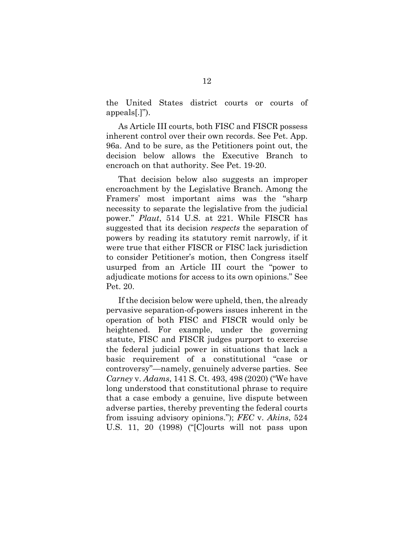the United States district courts or courts of appeals[.]").

As Article III courts, both FISC and FISCR possess inherent control over their own records. See Pet. App. 96a. And to be sure, as the Petitioners point out, the decision below allows the Executive Branch to encroach on that authority. See Pet. 19-20.

That decision below also suggests an improper encroachment by the Legislative Branch. Among the Framers' most important aims was the "sharp necessity to separate the legislative from the judicial power." *Plaut*, 514 U.S. at 221. While FISCR has suggested that its decision *respects* the separation of powers by reading its statutory remit narrowly, if it were true that either FISCR or FISC lack jurisdiction to consider Petitioner's motion, then Congress itself usurped from an Article III court the "power to adjudicate motions for access to its own opinions." See Pet. 20.

If the decision below were upheld, then, the already pervasive separation-of-powers issues inherent in the operation of both FISC and FISCR would only be heightened. For example, under the governing statute, FISC and FISCR judges purport to exercise the federal judicial power in situations that lack a basic requirement of a constitutional "case or controversy"—namely, genuinely adverse parties. See *Carney* v. *Adams*, 141 S. Ct. 493, 498 (2020) ("We have long understood that constitutional phrase to require that a case embody a genuine, live dispute between adverse parties, thereby preventing the federal courts from issuing advisory opinions."); *FEC* v. *Akins*, 524 U.S. 11, 20 (1998) ("[C]ourts will not pass upon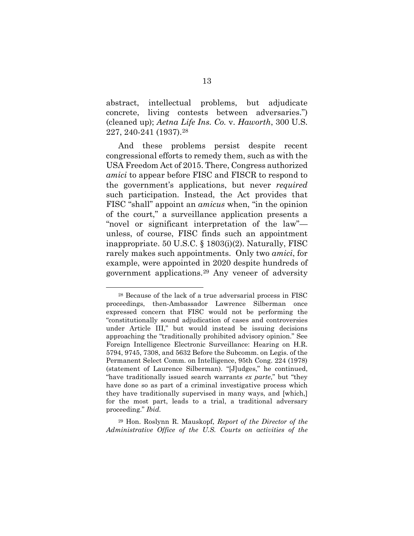abstract, intellectual problems, but adjudicate concrete, living contests between adversaries.") (cleaned up); *Aetna Life Ins. Co.* v. *Haworth*, 300 U.S. 227, 240-241 (1937).[28](#page-18-0)

And these problems persist despite recent congressional efforts to remedy them, such as with the USA Freedom Act of 2015. There, Congress authorized *amici* to appear before FISC and FISCR to respond to the government's applications, but never *required* such participation. Instead, the Act provides that FISC "shall" appoint an *amicus* when, "in the opinion of the court," a surveillance application presents a "novel or significant interpretation of the law" unless, of course, FISC finds such an appointment inappropriate. 50 U.S.C. § 1803(i)(2). Naturally, FISC rarely makes such appointments. Only two *amici*, for example, were appointed in 2020 despite hundreds of government applications.[29](#page-18-1) Any veneer of adversity

<span id="page-18-1"></span><sup>29</sup> Hon. Roslynn R. Mauskopf, *Report of the Director of the Administrative Office of the U.S. Courts on activities of the* 

<span id="page-18-0"></span><sup>28</sup> Because of the lack of a true adversarial process in FISC proceedings, then-Ambassador Lawrence Silberman once expressed concern that FISC would not be performing the "constitutionally sound adjudication of cases and controversies under Article III," but would instead be issuing decisions approaching the "traditionally prohibited advisory opinion." See Foreign Intelligence Electronic Surveillance: Hearing on H.R. 5794, 9745, 7308, and 5632 Before the Subcomm. on Legis. of the Permanent Select Comm. on Intelligence, 95th Cong. 224 (1978) (statement of Laurence Silberman). "[J]udges," he continued, "have traditionally issued search warrants *ex parte*," but "they have done so as part of a criminal investigative process which they have traditionally supervised in many ways, and [which,] for the most part, leads to a trial, a traditional adversary proceeding." *Ibid.*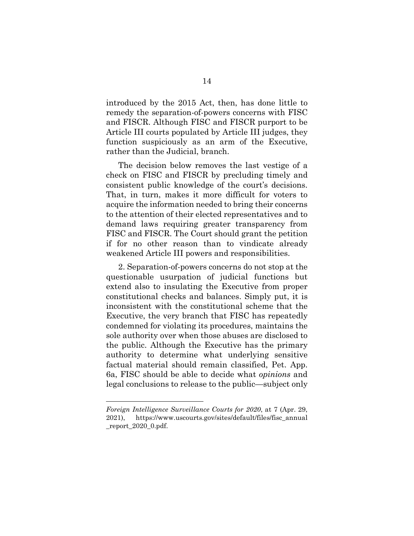introduced by the 2015 Act, then, has done little to remedy the separation-of-powers concerns with FISC and FISCR. Although FISC and FISCR purport to be Article III courts populated by Article III judges, they function suspiciously as an arm of the Executive, rather than the Judicial, branch.

The decision below removes the last vestige of a check on FISC and FISCR by precluding timely and consistent public knowledge of the court's decisions. That, in turn, makes it more difficult for voters to acquire the information needed to bring their concerns to the attention of their elected representatives and to demand laws requiring greater transparency from FISC and FISCR. The Court should grant the petition if for no other reason than to vindicate already weakened Article III powers and responsibilities.

2. Separation-of-powers concerns do not stop at the questionable usurpation of judicial functions but extend also to insulating the Executive from proper constitutional checks and balances. Simply put, it is inconsistent with the constitutional scheme that the Executive, the very branch that FISC has repeatedly condemned for violating its procedures, maintains the sole authority over when those abuses are disclosed to the public. Although the Executive has the primary authority to determine what underlying sensitive factual material should remain classified, Pet. App. 6a, FISC should be able to decide what *opinions* and legal conclusions to release to the public—subject only

*Foreign Intelligence Surveillance Courts for 2020*, at 7 (Apr. 29, 2021), [https://www.uscourts.gov/sites/default/files/fisc\\_annual](https://www.uscourts.gov/sites/default/files/fisc_annual_report_2020_0.pdf) [\\_report\\_2020\\_0.pdf.](https://www.uscourts.gov/sites/default/files/fisc_annual_report_2020_0.pdf)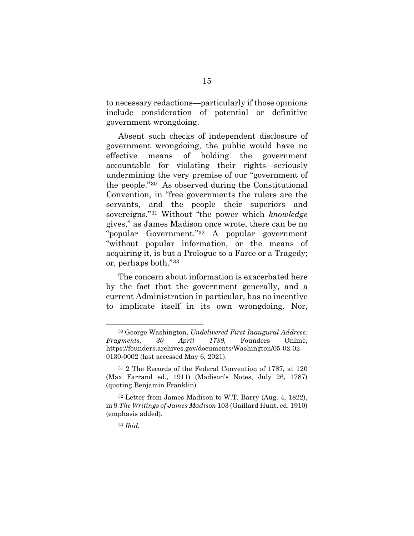to necessary redactions—particularly if those opinions include consideration of potential or definitive government wrongdoing.

Absent such checks of independent disclosure of government wrongdoing, the public would have no effective means of holding the government accountable for violating their rights—seriously undermining the very premise of our "government of the people."[30](#page-20-0) As observed during the Constitutional Convention, in "free governments the rulers are the servants, and the people their superiors and sovereigns."[31](#page-20-1) Without "the power which *knowledge* gives," as James Madison once wrote, there can be no "popular Government."[32](#page-20-2) A popular government "without popular information, or the means of acquiring it, is but a Prologue to a Farce or a Tragedy; or, perhaps both."[33](#page-20-3)

The concern about information is exacerbated here by the fact that the government generally, and a current Administration in particular, has no incentive to implicate itself in its own wrongdoing. Nor,

<span id="page-20-0"></span><sup>30</sup> George Washington, *Undelivered First Inaugural Address: Fragments, 30 April 1789*, Founders Online, [https://founders.archives.gov/documents/Washington/05-02-02-](https://founders.archives.gov/documents/Washington/05-02-02-0130-0002%20(last%20accessed%20May%206,%202021).) [0130-0002 \(last accessed May 6, 2021\).](https://founders.archives.gov/documents/Washington/05-02-02-0130-0002%20(last%20accessed%20May%206,%202021).)

<span id="page-20-1"></span><sup>31</sup> 2 The Records of the Federal Convention of 1787, at 120 (Max Farrand ed., 1911) (Madison's Notes, July 26, 1787) (quoting Benjamin Franklin).

<span id="page-20-3"></span><span id="page-20-2"></span><sup>32</sup> Letter from James Madison to W.T. Barry (Aug. 4, 1822), in 9 *The Writings of James Madison* 103 (Gaillard Hunt, ed. 1910) (emphasis added).

<sup>33</sup> *Ibid.*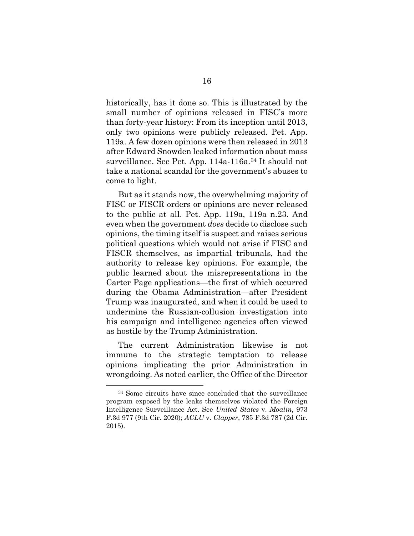historically, has it done so. This is illustrated by the small number of opinions released in FISC's more than forty-year history: From its inception until 2013, only two opinions were publicly released. Pet. App. 119a. A few dozen opinions were then released in 2013 after Edward Snowden leaked information about mass surveillance. See Pet. App. 114a-116a.<sup>[34](#page-21-0)</sup> It should not take a national scandal for the government's abuses to come to light.

But as it stands now, the overwhelming majority of FISC or FISCR orders or opinions are never released to the public at all. Pet. App. 119a, 119a n.23. And even when the government *does* decide to disclose such opinions, the timing itself is suspect and raises serious political questions which would not arise if FISC and FISCR themselves, as impartial tribunals, had the authority to release key opinions. For example, the public learned about the misrepresentations in the Carter Page applications—the first of which occurred during the Obama Administration—after President Trump was inaugurated, and when it could be used to undermine the Russian-collusion investigation into his campaign and intelligence agencies often viewed as hostile by the Trump Administration.

The current Administration likewise is not immune to the strategic temptation to release opinions implicating the prior Administration in wrongdoing. As noted earlier, the Office of the Director

<span id="page-21-0"></span><sup>34</sup> Some circuits have since concluded that the surveillance program exposed by the leaks themselves violated the Foreign Intelligence Surveillance Act. See *United States* v. *Moalin*, 973 F.3d 977 (9th Cir. 2020); *ACLU* v. *Clapper*, 785 F.3d 787 (2d Cir. 2015).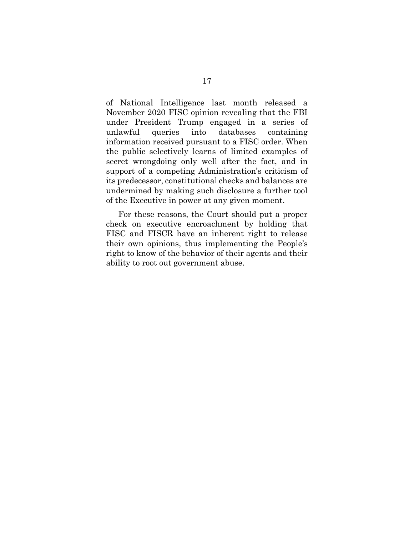of National Intelligence last month released a November 2020 FISC opinion revealing that the FBI under President Trump engaged in a series of unlawful queries into databases containing information received pursuant to a FISC order. When the public selectively learns of limited examples of secret wrongdoing only well after the fact, and in support of a competing Administration's criticism of its predecessor, constitutional checks and balances are undermined by making such disclosure a further tool of the Executive in power at any given moment.

For these reasons, the Court should put a proper check on executive encroachment by holding that FISC and FISCR have an inherent right to release their own opinions, thus implementing the People's right to know of the behavior of their agents and their ability to root out government abuse.